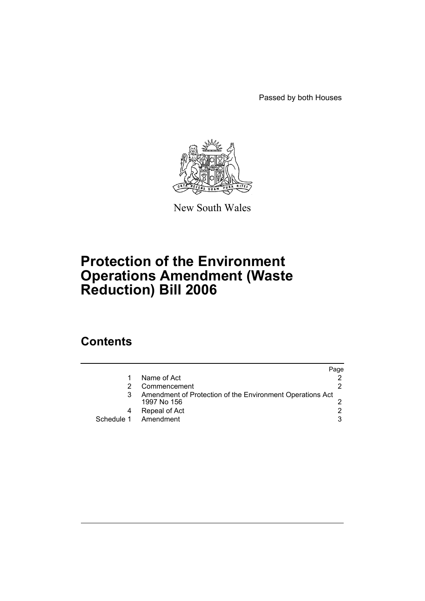Passed by both Houses



New South Wales

# **Protection of the Environment Operations Amendment (Waste Reduction) Bill 2006**

## **Contents**

|            |                                                                          | Page |
|------------|--------------------------------------------------------------------------|------|
|            | Name of Act                                                              |      |
|            | Commencement                                                             |      |
|            | Amendment of Protection of the Environment Operations Act<br>1997 No 156 |      |
|            | Repeal of Act                                                            |      |
| Schedule 1 | Amendment                                                                | 3    |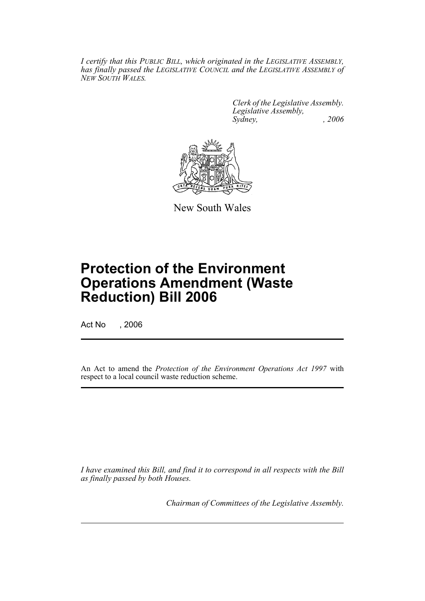*I certify that this PUBLIC BILL, which originated in the LEGISLATIVE ASSEMBLY, has finally passed the LEGISLATIVE COUNCIL and the LEGISLATIVE ASSEMBLY of NEW SOUTH WALES.*

> *Clerk of the Legislative Assembly. Legislative Assembly, Sydney, , 2006*



New South Wales

# **Protection of the Environment Operations Amendment (Waste Reduction) Bill 2006**

Act No , 2006

An Act to amend the *Protection of the Environment Operations Act 1997* with respect to a local council waste reduction scheme.

*I have examined this Bill, and find it to correspond in all respects with the Bill as finally passed by both Houses.*

*Chairman of Committees of the Legislative Assembly.*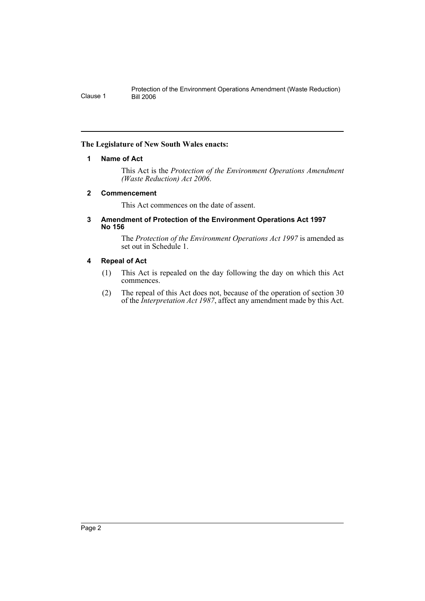#### **The Legislature of New South Wales enacts:**

#### **1 Name of Act**

This Act is the *Protection of the Environment Operations Amendment (Waste Reduction) Act 2006*.

#### **2 Commencement**

This Act commences on the date of assent.

#### **3 Amendment of Protection of the Environment Operations Act 1997 No 156**

The *Protection of the Environment Operations Act 1997* is amended as set out in Schedule 1.

#### **4 Repeal of Act**

- (1) This Act is repealed on the day following the day on which this Act commences.
- (2) The repeal of this Act does not, because of the operation of section 30 of the *Interpretation Act 1987*, affect any amendment made by this Act.